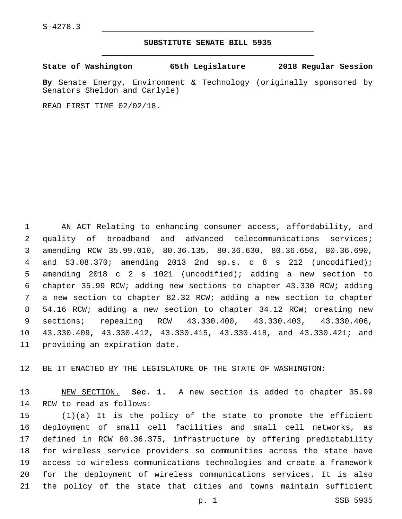S-4278.3

## **SUBSTITUTE SENATE BILL 5935**

**State of Washington 65th Legislature 2018 Regular Session**

**By** Senate Energy, Environment & Technology (originally sponsored by Senators Sheldon and Carlyle)

READ FIRST TIME 02/02/18.

 AN ACT Relating to enhancing consumer access, affordability, and quality of broadband and advanced telecommunications services; amending RCW 35.99.010, 80.36.135, 80.36.630, 80.36.650, 80.36.690, and 53.08.370; amending 2013 2nd sp.s. c 8 s 212 (uncodified); amending 2018 c 2 s 1021 (uncodified); adding a new section to chapter 35.99 RCW; adding new sections to chapter 43.330 RCW; adding a new section to chapter 82.32 RCW; adding a new section to chapter 54.16 RCW; adding a new section to chapter 34.12 RCW; creating new sections; repealing RCW 43.330.400, 43.330.403, 43.330.406, 43.330.409, 43.330.412, 43.330.415, 43.330.418, and 43.330.421; and 11 providing an expiration date.

BE IT ENACTED BY THE LEGISLATURE OF THE STATE OF WASHINGTON:

 NEW SECTION. **Sec. 1.** A new section is added to chapter 35.99 14 RCW to read as follows:

 (1)(a) It is the policy of the state to promote the efficient deployment of small cell facilities and small cell networks, as defined in RCW 80.36.375, infrastructure by offering predictability for wireless service providers so communities across the state have access to wireless communications technologies and create a framework for the deployment of wireless communications services. It is also the policy of the state that cities and towns maintain sufficient

p. 1 SSB 5935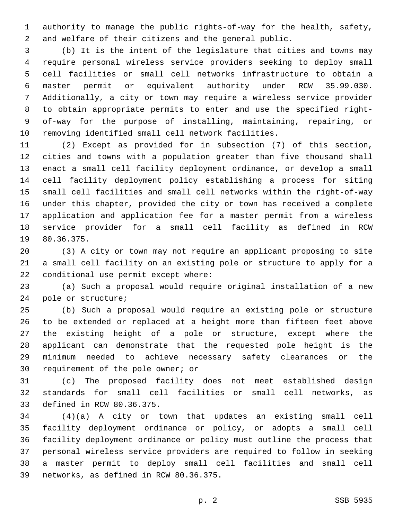authority to manage the public rights-of-way for the health, safety, and welfare of their citizens and the general public.

 (b) It is the intent of the legislature that cities and towns may require personal wireless service providers seeking to deploy small cell facilities or small cell networks infrastructure to obtain a master permit or equivalent authority under RCW 35.99.030. Additionally, a city or town may require a wireless service provider to obtain appropriate permits to enter and use the specified right- of-way for the purpose of installing, maintaining, repairing, or removing identified small cell network facilities.

 (2) Except as provided for in subsection (7) of this section, cities and towns with a population greater than five thousand shall enact a small cell facility deployment ordinance, or develop a small cell facility deployment policy establishing a process for siting small cell facilities and small cell networks within the right-of-way under this chapter, provided the city or town has received a complete application and application fee for a master permit from a wireless service provider for a small cell facility as defined in RCW 19 80.36.375.

 (3) A city or town may not require an applicant proposing to site a small cell facility on an existing pole or structure to apply for a 22 conditional use permit except where:

 (a) Such a proposal would require original installation of a new 24 pole or structure;

 (b) Such a proposal would require an existing pole or structure to be extended or replaced at a height more than fifteen feet above the existing height of a pole or structure, except where the applicant can demonstrate that the requested pole height is the minimum needed to achieve necessary safety clearances or the 30 requirement of the pole owner; or

 (c) The proposed facility does not meet established design standards for small cell facilities or small cell networks, as 33 defined in RCW 80.36.375.

 (4)(a) A city or town that updates an existing small cell facility deployment ordinance or policy, or adopts a small cell facility deployment ordinance or policy must outline the process that personal wireless service providers are required to follow in seeking a master permit to deploy small cell facilities and small cell 39 networks, as defined in RCW 80.36.375.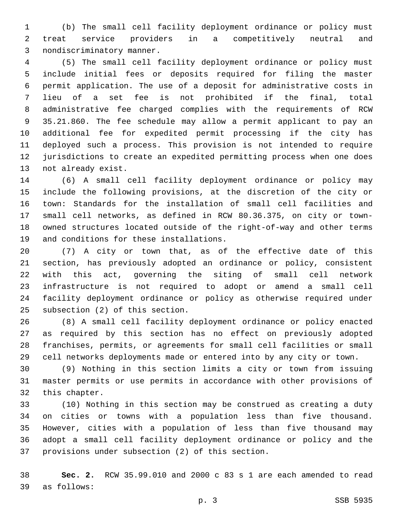(b) The small cell facility deployment ordinance or policy must treat service providers in a competitively neutral and 3 nondiscriminatory manner.

 (5) The small cell facility deployment ordinance or policy must include initial fees or deposits required for filing the master permit application. The use of a deposit for administrative costs in lieu of a set fee is not prohibited if the final, total administrative fee charged complies with the requirements of RCW 35.21.860. The fee schedule may allow a permit applicant to pay an additional fee for expedited permit processing if the city has deployed such a process. This provision is not intended to require jurisdictions to create an expedited permitting process when one does 13 not already exist.

 (6) A small cell facility deployment ordinance or policy may include the following provisions, at the discretion of the city or town: Standards for the installation of small cell facilities and small cell networks, as defined in RCW 80.36.375, on city or town- owned structures located outside of the right-of-way and other terms 19 and conditions for these installations.

 (7) A city or town that, as of the effective date of this section, has previously adopted an ordinance or policy, consistent with this act, governing the siting of small cell network infrastructure is not required to adopt or amend a small cell facility deployment ordinance or policy as otherwise required under 25 subsection (2) of this section.

 (8) A small cell facility deployment ordinance or policy enacted as required by this section has no effect on previously adopted franchises, permits, or agreements for small cell facilities or small cell networks deployments made or entered into by any city or town.

 (9) Nothing in this section limits a city or town from issuing master permits or use permits in accordance with other provisions of 32 this chapter.

 (10) Nothing in this section may be construed as creating a duty on cities or towns with a population less than five thousand. However, cities with a population of less than five thousand may adopt a small cell facility deployment ordinance or policy and the 37 provisions under subsection (2) of this section.

 **Sec. 2.** RCW 35.99.010 and 2000 c 83 s 1 are each amended to read as follows:39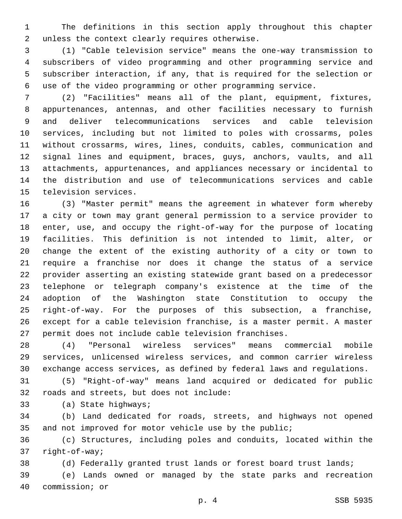The definitions in this section apply throughout this chapter 2 unless the context clearly requires otherwise.

 (1) "Cable television service" means the one-way transmission to subscribers of video programming and other programming service and subscriber interaction, if any, that is required for the selection or use of the video programming or other programming service.

 (2) "Facilities" means all of the plant, equipment, fixtures, appurtenances, antennas, and other facilities necessary to furnish and deliver telecommunications services and cable television services, including but not limited to poles with crossarms, poles without crossarms, wires, lines, conduits, cables, communication and signal lines and equipment, braces, guys, anchors, vaults, and all attachments, appurtenances, and appliances necessary or incidental to the distribution and use of telecommunications services and cable 15 television services.

 (3) "Master permit" means the agreement in whatever form whereby a city or town may grant general permission to a service provider to enter, use, and occupy the right-of-way for the purpose of locating facilities. This definition is not intended to limit, alter, or change the extent of the existing authority of a city or town to require a franchise nor does it change the status of a service provider asserting an existing statewide grant based on a predecessor telephone or telegraph company's existence at the time of the adoption of the Washington state Constitution to occupy the right-of-way. For the purposes of this subsection, a franchise, except for a cable television franchise, is a master permit. A master permit does not include cable television franchises.

 (4) "Personal wireless services" means commercial mobile services, unlicensed wireless services, and common carrier wireless exchange access services, as defined by federal laws and regulations.

 (5) "Right-of-way" means land acquired or dedicated for public 32 roads and streets, but does not include:

33 (a) State highways;

 (b) Land dedicated for roads, streets, and highways not opened 35 and not improved for motor vehicle use by the public;

 (c) Structures, including poles and conduits, located within the 37 right-of-way;

(d) Federally granted trust lands or forest board trust lands;

 (e) Lands owned or managed by the state parks and recreation 40 commission; or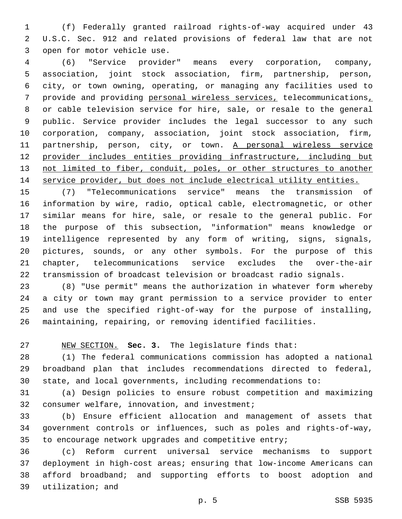(f) Federally granted railroad rights-of-way acquired under 43 U.S.C. Sec. 912 and related provisions of federal law that are not 3 open for motor vehicle use.

 (6) "Service provider" means every corporation, company, association, joint stock association, firm, partnership, person, city, or town owning, operating, or managing any facilities used to provide and providing personal wireless services, telecommunications, or cable television service for hire, sale, or resale to the general public. Service provider includes the legal successor to any such corporation, company, association, joint stock association, firm, 11 partnership, person, city, or town. A personal wireless service provider includes entities providing infrastructure, including but 13 not limited to fiber, conduit, poles, or other structures to another service provider, but does not include electrical utility entities.

 (7) "Telecommunications service" means the transmission of information by wire, radio, optical cable, electromagnetic, or other similar means for hire, sale, or resale to the general public. For the purpose of this subsection, "information" means knowledge or intelligence represented by any form of writing, signs, signals, pictures, sounds, or any other symbols. For the purpose of this chapter, telecommunications service excludes the over-the-air transmission of broadcast television or broadcast radio signals.

 (8) "Use permit" means the authorization in whatever form whereby a city or town may grant permission to a service provider to enter and use the specified right-of-way for the purpose of installing, maintaining, repairing, or removing identified facilities.

NEW SECTION. **Sec. 3.** The legislature finds that:

 (1) The federal communications commission has adopted a national broadband plan that includes recommendations directed to federal, state, and local governments, including recommendations to:

 (a) Design policies to ensure robust competition and maximizing 32 consumer welfare, innovation, and investment;

 (b) Ensure efficient allocation and management of assets that government controls or influences, such as poles and rights-of-way, to encourage network upgrades and competitive entry;

 (c) Reform current universal service mechanisms to support deployment in high-cost areas; ensuring that low-income Americans can afford broadband; and supporting efforts to boost adoption and 39 utilization; and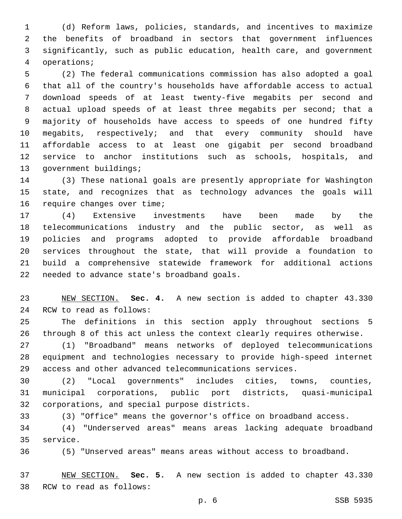(d) Reform laws, policies, standards, and incentives to maximize the benefits of broadband in sectors that government influences significantly, such as public education, health care, and government operations;4

 (2) The federal communications commission has also adopted a goal that all of the country's households have affordable access to actual download speeds of at least twenty-five megabits per second and actual upload speeds of at least three megabits per second; that a majority of households have access to speeds of one hundred fifty megabits, respectively; and that every community should have affordable access to at least one gigabit per second broadband service to anchor institutions such as schools, hospitals, and 13 government buildings;

 (3) These national goals are presently appropriate for Washington state, and recognizes that as technology advances the goals will 16 require changes over time;

 (4) Extensive investments have been made by the telecommunications industry and the public sector, as well as policies and programs adopted to provide affordable broadband services throughout the state, that will provide a foundation to build a comprehensive statewide framework for additional actions 22 needed to advance state's broadband goals.

 NEW SECTION. **Sec. 4.** A new section is added to chapter 43.330 24 RCW to read as follows:

 The definitions in this section apply throughout sections 5 through 8 of this act unless the context clearly requires otherwise.

 (1) "Broadband" means networks of deployed telecommunications equipment and technologies necessary to provide high-speed internet access and other advanced telecommunications services.

 (2) "Local governments" includes cities, towns, counties, municipal corporations, public port districts, quasi-municipal 32 corporations, and special purpose districts.

(3) "Office" means the governor's office on broadband access.

 (4) "Underserved areas" means areas lacking adequate broadband 35 service.

(5) "Unserved areas" means areas without access to broadband.

 NEW SECTION. **Sec. 5.** A new section is added to chapter 43.330 38 RCW to read as follows: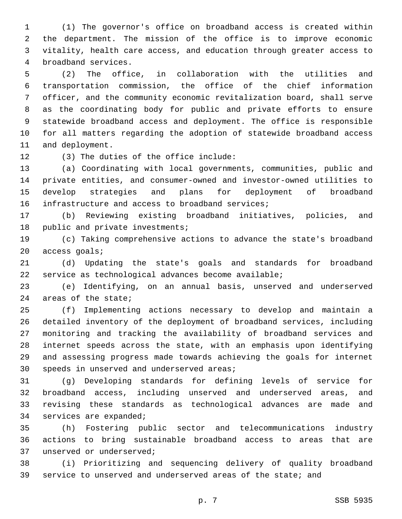(1) The governor's office on broadband access is created within the department. The mission of the office is to improve economic vitality, health care access, and education through greater access to 4 broadband services.

 (2) The office, in collaboration with the utilities and transportation commission, the office of the chief information officer, and the community economic revitalization board, shall serve as the coordinating body for public and private efforts to ensure statewide broadband access and deployment. The office is responsible for all matters regarding the adoption of statewide broadband access 11 and deployment.

12 (3) The duties of the office include:

 (a) Coordinating with local governments, communities, public and private entities, and consumer-owned and investor-owned utilities to develop strategies and plans for deployment of broadband 16 infrastructure and access to broadband services;

 (b) Reviewing existing broadband initiatives, policies, and 18 public and private investments;

 (c) Taking comprehensive actions to advance the state's broadband 20 access goals;

 (d) Updating the state's goals and standards for broadband service as technological advances become available;

 (e) Identifying, on an annual basis, unserved and underserved 24 areas of the state;

 (f) Implementing actions necessary to develop and maintain a detailed inventory of the deployment of broadband services, including monitoring and tracking the availability of broadband services and internet speeds across the state, with an emphasis upon identifying and assessing progress made towards achieving the goals for internet 30 speeds in unserved and underserved areas;

 (g) Developing standards for defining levels of service for broadband access, including unserved and underserved areas, and revising these standards as technological advances are made and 34 services are expanded;

 (h) Fostering public sector and telecommunications industry actions to bring sustainable broadband access to areas that are 37 unserved or underserved;

 (i) Prioritizing and sequencing delivery of quality broadband service to unserved and underserved areas of the state; and

p. 7 SSB 5935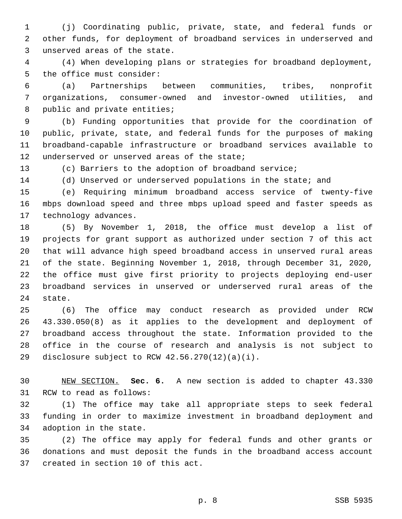(j) Coordinating public, private, state, and federal funds or other funds, for deployment of broadband services in underserved and 3 unserved areas of the state.

 (4) When developing plans or strategies for broadband deployment, 5 the office must consider:

 (a) Partnerships between communities, tribes, nonprofit organizations, consumer-owned and investor-owned utilities, and 8 public and private entities;

 (b) Funding opportunities that provide for the coordination of public, private, state, and federal funds for the purposes of making broadband-capable infrastructure or broadband services available to 12 underserved or unserved areas of the state;

(c) Barriers to the adoption of broadband service;

(d) Unserved or underserved populations in the state; and

 (e) Requiring minimum broadband access service of twenty-five mbps download speed and three mbps upload speed and faster speeds as 17 technology advances.

 (5) By November 1, 2018, the office must develop a list of projects for grant support as authorized under section 7 of this act that will advance high speed broadband access in unserved rural areas of the state. Beginning November 1, 2018, through December 31, 2020, the office must give first priority to projects deploying end-user broadband services in unserved or underserved rural areas of the 24 state.

 (6) The office may conduct research as provided under RCW 43.330.050(8) as it applies to the development and deployment of broadband access throughout the state. Information provided to the office in the course of research and analysis is not subject to 29 disclosure subject to RCW  $42.56.270(12)(a)(i)$ .

 NEW SECTION. **Sec. 6.** A new section is added to chapter 43.330 31 RCW to read as follows:

 (1) The office may take all appropriate steps to seek federal funding in order to maximize investment in broadband deployment and 34 adoption in the state.

 (2) The office may apply for federal funds and other grants or donations and must deposit the funds in the broadband access account 37 created in section 10 of this act.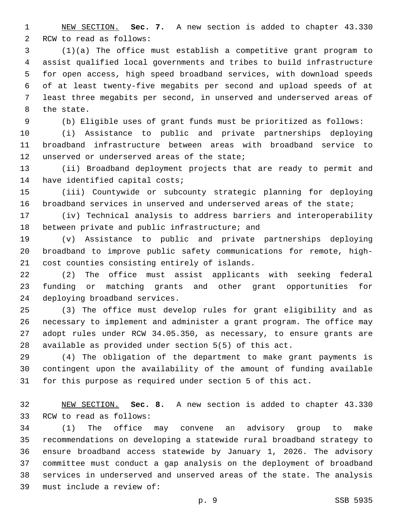NEW SECTION. **Sec. 7.** A new section is added to chapter 43.330 2 RCW to read as follows:

 (1)(a) The office must establish a competitive grant program to assist qualified local governments and tribes to build infrastructure for open access, high speed broadband services, with download speeds of at least twenty-five megabits per second and upload speeds of at least three megabits per second, in unserved and underserved areas of 8 the state.

(b) Eligible uses of grant funds must be prioritized as follows:

 (i) Assistance to public and private partnerships deploying broadband infrastructure between areas with broadband service to 12 unserved or underserved areas of the state;

 (ii) Broadband deployment projects that are ready to permit and 14 have identified capital costs;

 (iii) Countywide or subcounty strategic planning for deploying broadband services in unserved and underserved areas of the state;

 (iv) Technical analysis to address barriers and interoperability 18 between private and public infrastructure; and

 (v) Assistance to public and private partnerships deploying broadband to improve public safety communications for remote, high-21 cost counties consisting entirely of islands.

 (2) The office must assist applicants with seeking federal funding or matching grants and other grant opportunities for 24 deploying broadband services.

 (3) The office must develop rules for grant eligibility and as necessary to implement and administer a grant program. The office may adopt rules under RCW 34.05.350, as necessary, to ensure grants are available as provided under section 5(5) of this act.

 (4) The obligation of the department to make grant payments is contingent upon the availability of the amount of funding available for this purpose as required under section 5 of this act.

 NEW SECTION. **Sec. 8.** A new section is added to chapter 43.330 33 RCW to read as follows:

 (1) The office may convene an advisory group to make recommendations on developing a statewide rural broadband strategy to ensure broadband access statewide by January 1, 2026. The advisory committee must conduct a gap analysis on the deployment of broadband services in underserved and unserved areas of the state. The analysis 39 must include a review of: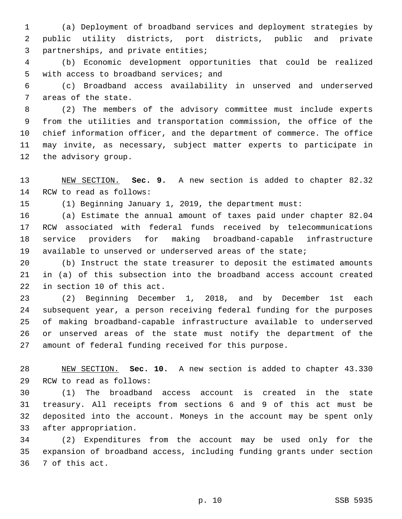(a) Deployment of broadband services and deployment strategies by public utility districts, port districts, public and private 3 partnerships, and private entities;

 (b) Economic development opportunities that could be realized 5 with access to broadband services; and

 (c) Broadband access availability in unserved and underserved 7 areas of the state.

 (2) The members of the advisory committee must include experts from the utilities and transportation commission, the office of the chief information officer, and the department of commerce. The office may invite, as necessary, subject matter experts to participate in 12 the advisory group.

 NEW SECTION. **Sec. 9.** A new section is added to chapter 82.32 14 RCW to read as follows:

(1) Beginning January 1, 2019, the department must:

 (a) Estimate the annual amount of taxes paid under chapter 82.04 RCW associated with federal funds received by telecommunications service providers for making broadband-capable infrastructure available to unserved or underserved areas of the state;

 (b) Instruct the state treasurer to deposit the estimated amounts in (a) of this subsection into the broadband access account created 22 in section 10 of this act.

 (2) Beginning December 1, 2018, and by December 1st each subsequent year, a person receiving federal funding for the purposes of making broadband-capable infrastructure available to underserved or unserved areas of the state must notify the department of the amount of federal funding received for this purpose.

 NEW SECTION. **Sec. 10.** A new section is added to chapter 43.330 29 RCW to read as follows:

 (1) The broadband access account is created in the state treasury. All receipts from sections 6 and 9 of this act must be deposited into the account. Moneys in the account may be spent only 33 after appropriation.

 (2) Expenditures from the account may be used only for the expansion of broadband access, including funding grants under section 36 7 of this act.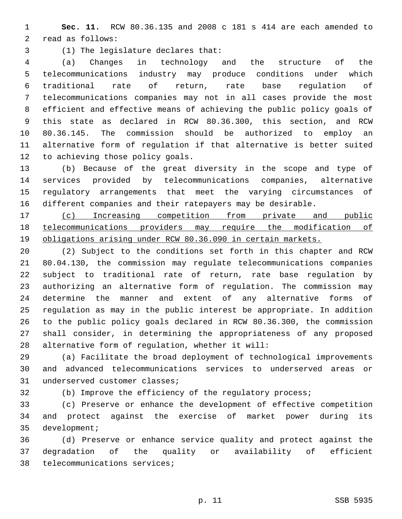**Sec. 11.** RCW 80.36.135 and 2008 c 181 s 414 are each amended to 2 read as follows:

(1) The legislature declares that:3

 (a) Changes in technology and the structure of the telecommunications industry may produce conditions under which traditional rate of return, rate base regulation of telecommunications companies may not in all cases provide the most efficient and effective means of achieving the public policy goals of this state as declared in RCW 80.36.300, this section, and RCW 80.36.145. The commission should be authorized to employ an alternative form of regulation if that alternative is better suited 12 to achieving those policy goals.

 (b) Because of the great diversity in the scope and type of services provided by telecommunications companies, alternative regulatory arrangements that meet the varying circumstances of different companies and their ratepayers may be desirable.

 (c) Increasing competition from private and public telecommunications providers may require the modification of obligations arising under RCW 80.36.090 in certain markets.

 (2) Subject to the conditions set forth in this chapter and RCW 80.04.130, the commission may regulate telecommunications companies subject to traditional rate of return, rate base regulation by authorizing an alternative form of regulation. The commission may determine the manner and extent of any alternative forms of regulation as may in the public interest be appropriate. In addition to the public policy goals declared in RCW 80.36.300, the commission shall consider, in determining the appropriateness of any proposed 28 alternative form of regulation, whether it will:

 (a) Facilitate the broad deployment of technological improvements and advanced telecommunications services to underserved areas or 31 underserved customer classes;

(b) Improve the efficiency of the regulatory process;

 (c) Preserve or enhance the development of effective competition and protect against the exercise of market power during its 35 development;

 (d) Preserve or enhance service quality and protect against the degradation of the quality or availability of efficient 38 telecommunications services;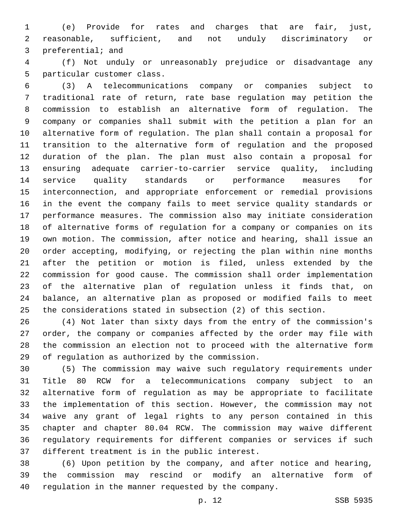(e) Provide for rates and charges that are fair, just, reasonable, sufficient, and not unduly discriminatory or 3 preferential; and

 (f) Not unduly or unreasonably prejudice or disadvantage any 5 particular customer class.

 (3) A telecommunications company or companies subject to traditional rate of return, rate base regulation may petition the commission to establish an alternative form of regulation. The company or companies shall submit with the petition a plan for an alternative form of regulation. The plan shall contain a proposal for transition to the alternative form of regulation and the proposed duration of the plan. The plan must also contain a proposal for ensuring adequate carrier-to-carrier service quality, including service quality standards or performance measures for interconnection, and appropriate enforcement or remedial provisions in the event the company fails to meet service quality standards or performance measures. The commission also may initiate consideration of alternative forms of regulation for a company or companies on its own motion. The commission, after notice and hearing, shall issue an order accepting, modifying, or rejecting the plan within nine months after the petition or motion is filed, unless extended by the commission for good cause. The commission shall order implementation of the alternative plan of regulation unless it finds that, on balance, an alternative plan as proposed or modified fails to meet the considerations stated in subsection (2) of this section.

 (4) Not later than sixty days from the entry of the commission's order, the company or companies affected by the order may file with the commission an election not to proceed with the alternative form 29 of regulation as authorized by the commission.

 (5) The commission may waive such regulatory requirements under Title 80 RCW for a telecommunications company subject to an alternative form of regulation as may be appropriate to facilitate the implementation of this section. However, the commission may not waive any grant of legal rights to any person contained in this chapter and chapter 80.04 RCW. The commission may waive different regulatory requirements for different companies or services if such 37 different treatment is in the public interest.

 (6) Upon petition by the company, and after notice and hearing, the commission may rescind or modify an alternative form of regulation in the manner requested by the company.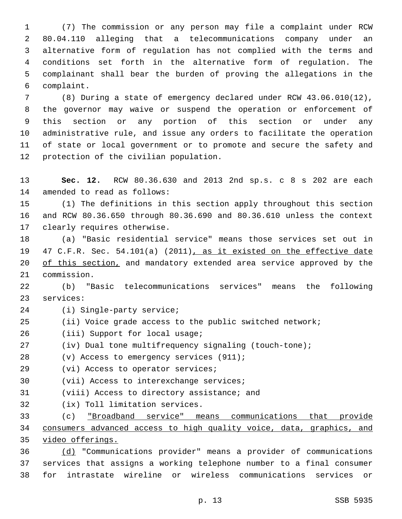(7) The commission or any person may file a complaint under RCW 80.04.110 alleging that a telecommunications company under an alternative form of regulation has not complied with the terms and conditions set forth in the alternative form of regulation. The complainant shall bear the burden of proving the allegations in the complaint.6

 (8) During a state of emergency declared under RCW 43.06.010(12), the governor may waive or suspend the operation or enforcement of this section or any portion of this section or under any administrative rule, and issue any orders to facilitate the operation of state or local government or to promote and secure the safety and 12 protection of the civilian population.

 **Sec. 12.** RCW 80.36.630 and 2013 2nd sp.s. c 8 s 202 are each 14 amended to read as follows:

 (1) The definitions in this section apply throughout this section and RCW 80.36.650 through 80.36.690 and 80.36.610 unless the context 17 clearly requires otherwise.

 (a) "Basic residential service" means those services set out in 47 C.F.R. Sec. 54.101(a) (2011), as it existed on the effective date 20 of this section, and mandatory extended area service approved by the 21 commission.

 (b) "Basic telecommunications services" means the following 23 services:

- 24 (i) Single-party service;
- (ii) Voice grade access to the public switched network;
- 26 (iii) Support for local usage;
- (iv) Dual tone multifrequency signaling (touch-tone);
- (v) Access to emergency services (911);
- 29 (vi) Access to operator services;
- 30 (vii) Access to interexchange services;
- 31 (viii) Access to directory assistance; and
- 32 (ix) Toll limitation services.

 (c) "Broadband service" means communications that provide consumers advanced access to high quality voice, data, graphics, and video offerings.

 (d) "Communications provider" means a provider of communications services that assigns a working telephone number to a final consumer for intrastate wireline or wireless communications services or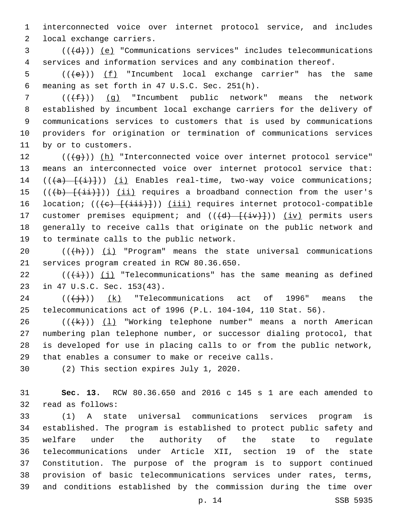1 interconnected voice over internet protocol service, and includes 2 local exchange carriers.

 $3$  ( $(\overline{d})$ ) <u>(e)</u> "Communications services" includes telecommunications 4 services and information services and any combination thereof.

5 ( $(\left\langle e \right\rangle)$ ) (f) "Incumbent local exchange carrier" has the same meaning as set forth in 47 U.S.C. Sec. 251(h).6

 (( $(f\text{f})$ ) (q) "Incumbent public network" means the network established by incumbent local exchange carriers for the delivery of communications services to customers that is used by communications providers for origination or termination of communications services 11 by or to customers.

12 (((g)) (h) "Interconnected voice over internet protocol service" 13 means an interconnected voice over internet protocol service that: 14  $((a)$   $\{i\})$   $(i)$  Enables real-time, two-way voice communications; 15 ( $(\overline{(b)} + \overline{(\overline{ii})})$ ) (ii) requires a broadband connection from the user's 16 location; (((e) [(iii)])) (iii) requires internet protocol-compatible 17 customer premises equipment; and  $((\overline{d}) - (\overline{i}v)+))$  (iv) permits users 18 generally to receive calls that originate on the public network and 19 to terminate calls to the public network.

20  $((+h))$   $(i)$  "Program" means the state universal communications 21 services program created in RCW 80.36.650.

22  $((+i+))$  (j) "Telecommunications" has the same meaning as defined 23 in 47 U.S.C. Sec. 153(43).

 $24$  ( $(\frac{+}{3})$ )  $(k)$  "Telecommunications act of 1996" means the 25 telecommunications act of 1996 (P.L. 104-104, 110 Stat. 56).

 $((+k))$   $(1)$  "Working telephone number" means a north American numbering plan telephone number, or successor dialing protocol, that is developed for use in placing calls to or from the public network, 29 that enables a consumer to make or receive calls.

30 (2) This section expires July 1, 2020.

31 **Sec. 13.** RCW 80.36.650 and 2016 c 145 s 1 are each amended to 32 read as follows:

 (1) A state universal communications services program is established. The program is established to protect public safety and welfare under the authority of the state to regulate telecommunications under Article XII, section 19 of the state Constitution. The purpose of the program is to support continued provision of basic telecommunications services under rates, terms, and conditions established by the commission during the time over

p. 14 SSB 5935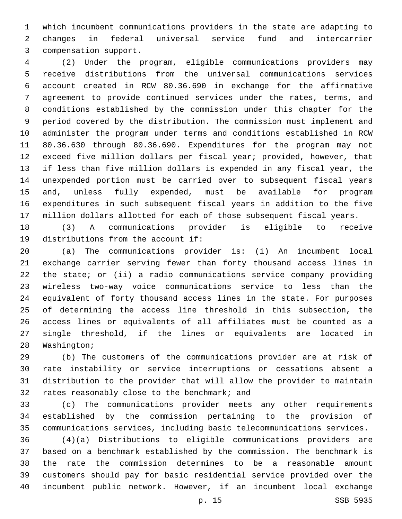which incumbent communications providers in the state are adapting to changes in federal universal service fund and intercarrier 3 compensation support.

 (2) Under the program, eligible communications providers may receive distributions from the universal communications services account created in RCW 80.36.690 in exchange for the affirmative agreement to provide continued services under the rates, terms, and conditions established by the commission under this chapter for the period covered by the distribution. The commission must implement and administer the program under terms and conditions established in RCW 80.36.630 through 80.36.690. Expenditures for the program may not exceed five million dollars per fiscal year; provided, however, that if less than five million dollars is expended in any fiscal year, the unexpended portion must be carried over to subsequent fiscal years and, unless fully expended, must be available for program expenditures in such subsequent fiscal years in addition to the five million dollars allotted for each of those subsequent fiscal years.

 (3) A communications provider is eligible to receive 19 distributions from the account if:

 (a) The communications provider is: (i) An incumbent local exchange carrier serving fewer than forty thousand access lines in the state; or (ii) a radio communications service company providing wireless two-way voice communications service to less than the equivalent of forty thousand access lines in the state. For purposes of determining the access line threshold in this subsection, the access lines or equivalents of all affiliates must be counted as a single threshold, if the lines or equivalents are located in 28 Washington;

 (b) The customers of the communications provider are at risk of rate instability or service interruptions or cessations absent a distribution to the provider that will allow the provider to maintain 32 rates reasonably close to the benchmark; and

 (c) The communications provider meets any other requirements established by the commission pertaining to the provision of communications services, including basic telecommunications services.

 (4)(a) Distributions to eligible communications providers are based on a benchmark established by the commission. The benchmark is the rate the commission determines to be a reasonable amount customers should pay for basic residential service provided over the incumbent public network. However, if an incumbent local exchange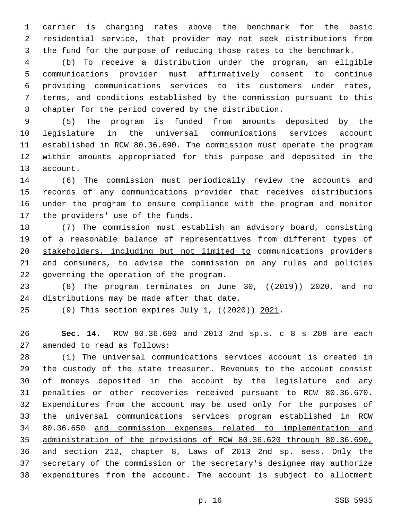carrier is charging rates above the benchmark for the basic residential service, that provider may not seek distributions from the fund for the purpose of reducing those rates to the benchmark.

 (b) To receive a distribution under the program, an eligible communications provider must affirmatively consent to continue providing communications services to its customers under rates, terms, and conditions established by the commission pursuant to this chapter for the period covered by the distribution.

 (5) The program is funded from amounts deposited by the legislature in the universal communications services account established in RCW 80.36.690. The commission must operate the program within amounts appropriated for this purpose and deposited in the 13 account.

 (6) The commission must periodically review the accounts and records of any communications provider that receives distributions under the program to ensure compliance with the program and monitor 17 the providers' use of the funds.

 (7) The commission must establish an advisory board, consisting of a reasonable balance of representatives from different types of stakeholders, including but not limited to communications providers and consumers, to advise the commission on any rules and policies 22 governing the operation of the program.

23 (8) The program terminates on June 30, ((2019)) 2020, and no 24 distributions may be made after that date.

(9) This section expires July 1, ((2020)) 2021.

 **Sec. 14.** RCW 80.36.690 and 2013 2nd sp.s. c 8 s 208 are each 27 amended to read as follows:

 (1) The universal communications services account is created in the custody of the state treasurer. Revenues to the account consist of moneys deposited in the account by the legislature and any penalties or other recoveries received pursuant to RCW 80.36.670. Expenditures from the account may be used only for the purposes of the universal communications services program established in RCW 80.36.650 and commission expenses related to implementation and administration of the provisions of RCW 80.36.620 through 80.36.690, and section 212, chapter 8, Laws of 2013 2nd sp. sess. Only the secretary of the commission or the secretary's designee may authorize expenditures from the account. The account is subject to allotment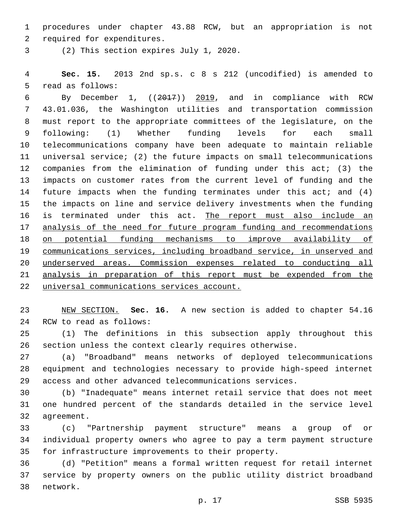procedures under chapter 43.88 RCW, but an appropriation is not 2 required for expenditures.

(2) This section expires July 1, 2020.3

 **Sec. 15.** 2013 2nd sp.s. c 8 s 212 (uncodified) is amended to 5 read as follows:

 By December 1, ((2017)) 2019, and in compliance with RCW 43.01.036, the Washington utilities and transportation commission must report to the appropriate committees of the legislature, on the following: (1) Whether funding levels for each small telecommunications company have been adequate to maintain reliable universal service; (2) the future impacts on small telecommunications companies from the elimination of funding under this act; (3) the impacts on customer rates from the current level of funding and the 14 future impacts when the funding terminates under this act; and (4) the impacts on line and service delivery investments when the funding is terminated under this act. The report must also include an analysis of the need for future program funding and recommendations on potential funding mechanisms to improve availability of communications services, including broadband service, in unserved and underserved areas. Commission expenses related to conducting all analysis in preparation of this report must be expended from the universal communications services account.

 NEW SECTION. **Sec. 16.** A new section is added to chapter 54.16 24 RCW to read as follows:

 (1) The definitions in this subsection apply throughout this section unless the context clearly requires otherwise.

 (a) "Broadband" means networks of deployed telecommunications equipment and technologies necessary to provide high-speed internet access and other advanced telecommunications services.

 (b) "Inadequate" means internet retail service that does not meet one hundred percent of the standards detailed in the service level 32 agreement.

 (c) "Partnership payment structure" means a group of or individual property owners who agree to pay a term payment structure for infrastructure improvements to their property.

 (d) "Petition" means a formal written request for retail internet service by property owners on the public utility district broadband 38 network.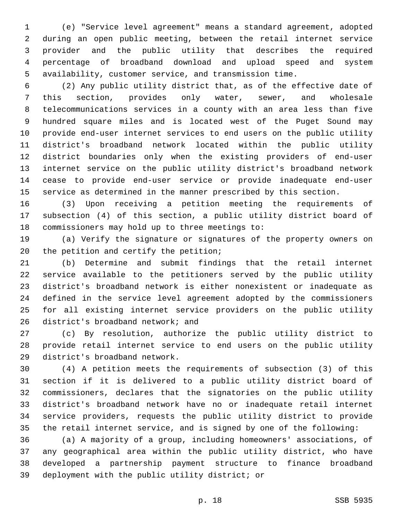(e) "Service level agreement" means a standard agreement, adopted during an open public meeting, between the retail internet service provider and the public utility that describes the required percentage of broadband download and upload speed and system availability, customer service, and transmission time.

 (2) Any public utility district that, as of the effective date of this section, provides only water, sewer, and wholesale telecommunications services in a county with an area less than five hundred square miles and is located west of the Puget Sound may provide end-user internet services to end users on the public utility district's broadband network located within the public utility district boundaries only when the existing providers of end-user internet service on the public utility district's broadband network cease to provide end-user service or provide inadequate end-user service as determined in the manner prescribed by this section.

 (3) Upon receiving a petition meeting the requirements of subsection (4) of this section, a public utility district board of 18 commissioners may hold up to three meetings to:

 (a) Verify the signature or signatures of the property owners on 20 the petition and certify the petition;

 (b) Determine and submit findings that the retail internet service available to the petitioners served by the public utility district's broadband network is either nonexistent or inadequate as defined in the service level agreement adopted by the commissioners for all existing internet service providers on the public utility 26 district's broadband network; and

 (c) By resolution, authorize the public utility district to provide retail internet service to end users on the public utility 29 district's broadband network.

 (4) A petition meets the requirements of subsection (3) of this section if it is delivered to a public utility district board of commissioners, declares that the signatories on the public utility district's broadband network have no or inadequate retail internet service providers, requests the public utility district to provide the retail internet service, and is signed by one of the following:

 (a) A majority of a group, including homeowners' associations, of any geographical area within the public utility district, who have developed a partnership payment structure to finance broadband 39 deployment with the public utility district; or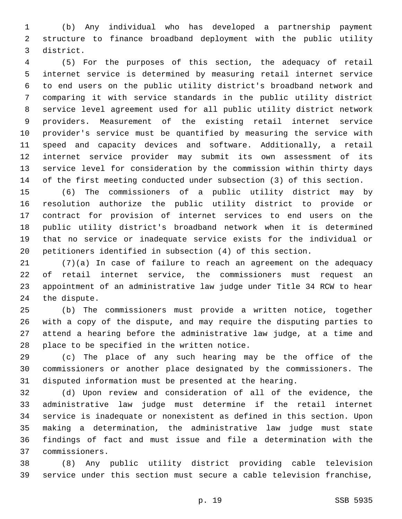(b) Any individual who has developed a partnership payment structure to finance broadband deployment with the public utility district.3

 (5) For the purposes of this section, the adequacy of retail internet service is determined by measuring retail internet service to end users on the public utility district's broadband network and comparing it with service standards in the public utility district service level agreement used for all public utility district network providers. Measurement of the existing retail internet service provider's service must be quantified by measuring the service with speed and capacity devices and software. Additionally, a retail internet service provider may submit its own assessment of its service level for consideration by the commission within thirty days of the first meeting conducted under subsection (3) of this section.

 (6) The commissioners of a public utility district may by resolution authorize the public utility district to provide or contract for provision of internet services to end users on the public utility district's broadband network when it is determined that no service or inadequate service exists for the individual or petitioners identified in subsection (4) of this section.

 (7)(a) In case of failure to reach an agreement on the adequacy of retail internet service, the commissioners must request an appointment of an administrative law judge under Title 34 RCW to hear 24 the dispute.

 (b) The commissioners must provide a written notice, together with a copy of the dispute, and may require the disputing parties to attend a hearing before the administrative law judge, at a time and 28 place to be specified in the written notice.

 (c) The place of any such hearing may be the office of the commissioners or another place designated by the commissioners. The disputed information must be presented at the hearing.

 (d) Upon review and consideration of all of the evidence, the administrative law judge must determine if the retail internet service is inadequate or nonexistent as defined in this section. Upon making a determination, the administrative law judge must state findings of fact and must issue and file a determination with the commissioners.37

 (8) Any public utility district providing cable television service under this section must secure a cable television franchise,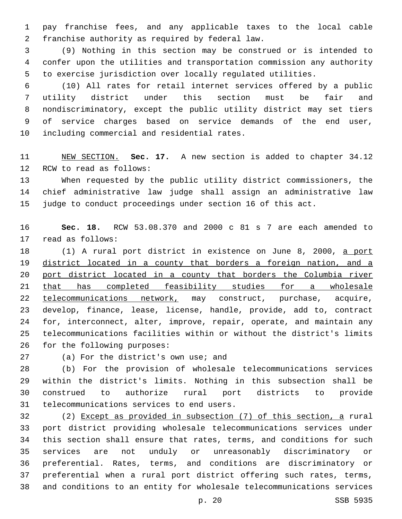pay franchise fees, and any applicable taxes to the local cable 2 franchise authority as required by federal law.

 (9) Nothing in this section may be construed or is intended to confer upon the utilities and transportation commission any authority to exercise jurisdiction over locally regulated utilities.

 (10) All rates for retail internet services offered by a public utility district under this section must be fair and nondiscriminatory, except the public utility district may set tiers of service charges based on service demands of the end user, 10 including commercial and residential rates.

 NEW SECTION. **Sec. 17.** A new section is added to chapter 34.12 12 RCW to read as follows:

 When requested by the public utility district commissioners, the chief administrative law judge shall assign an administrative law judge to conduct proceedings under section 16 of this act.

 **Sec. 18.** RCW 53.08.370 and 2000 c 81 s 7 are each amended to 17 read as follows:

18 (1) A rural port district in existence on June 8, 2000, a port 19 district located in a county that borders a foreign nation, and a 20 port district located in a county that borders the Columbia river 21 that has completed feasibility studies for a wholesale 22 telecommunications network, may construct, purchase, acquire, develop, finance, lease, license, handle, provide, add to, contract for, interconnect, alter, improve, repair, operate, and maintain any telecommunications facilities within or without the district's limits 26 for the following purposes:

27 (a) For the district's own use; and

 (b) For the provision of wholesale telecommunications services within the district's limits. Nothing in this subsection shall be construed to authorize rural port districts to provide 31 telecommunications services to end users.

 (2) Except as provided in subsection (7) of this section, a rural port district providing wholesale telecommunications services under this section shall ensure that rates, terms, and conditions for such services are not unduly or unreasonably discriminatory or preferential. Rates, terms, and conditions are discriminatory or preferential when a rural port district offering such rates, terms, and conditions to an entity for wholesale telecommunications services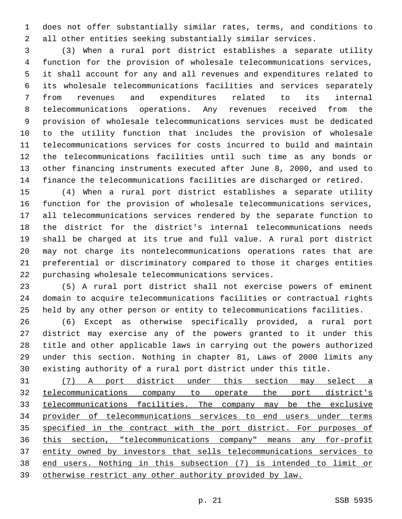does not offer substantially similar rates, terms, and conditions to all other entities seeking substantially similar services.

 (3) When a rural port district establishes a separate utility function for the provision of wholesale telecommunications services, it shall account for any and all revenues and expenditures related to its wholesale telecommunications facilities and services separately from revenues and expenditures related to its internal telecommunications operations. Any revenues received from the provision of wholesale telecommunications services must be dedicated to the utility function that includes the provision of wholesale telecommunications services for costs incurred to build and maintain the telecommunications facilities until such time as any bonds or other financing instruments executed after June 8, 2000, and used to finance the telecommunications facilities are discharged or retired.

 (4) When a rural port district establishes a separate utility function for the provision of wholesale telecommunications services, all telecommunications services rendered by the separate function to the district for the district's internal telecommunications needs shall be charged at its true and full value. A rural port district may not charge its nontelecommunications operations rates that are preferential or discriminatory compared to those it charges entities 22 purchasing wholesale telecommunications services.

 (5) A rural port district shall not exercise powers of eminent domain to acquire telecommunications facilities or contractual rights held by any other person or entity to telecommunications facilities.

 (6) Except as otherwise specifically provided, a rural port district may exercise any of the powers granted to it under this title and other applicable laws in carrying out the powers authorized under this section. Nothing in chapter 81, Laws of 2000 limits any existing authority of a rural port district under this title.

 (7) A port district under this section may select a telecommunications company to operate the port district's telecommunications facilities. The company may be the exclusive provider of telecommunications services to end users under terms 35 specified in the contract with the port district. For purposes of this section, "telecommunications company" means any for-profit entity owned by investors that sells telecommunications services to end users. Nothing in this subsection (7) is intended to limit or otherwise restrict any other authority provided by law.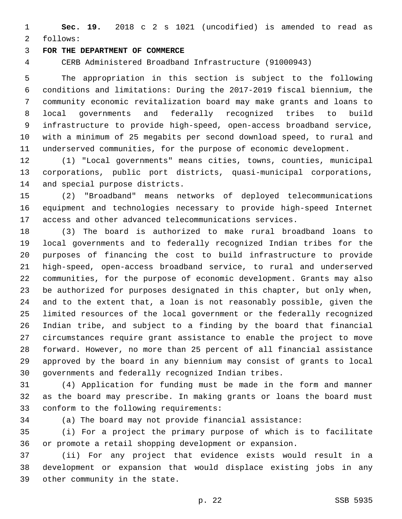**Sec. 19.** 2018 c 2 s 1021 (uncodified) is amended to read as 2 follows:

## **FOR THE DEPARTMENT OF COMMERCE**

CERB Administered Broadband Infrastructure (91000943)

 The appropriation in this section is subject to the following conditions and limitations: During the 2017-2019 fiscal biennium, the community economic revitalization board may make grants and loans to local governments and federally recognized tribes to build infrastructure to provide high-speed, open-access broadband service, with a minimum of 25 megabits per second download speed, to rural and underserved communities, for the purpose of economic development.

 (1) "Local governments" means cities, towns, counties, municipal corporations, public port districts, quasi-municipal corporations, 14 and special purpose districts.

 (2) "Broadband" means networks of deployed telecommunications equipment and technologies necessary to provide high-speed Internet access and other advanced telecommunications services.

 (3) The board is authorized to make rural broadband loans to local governments and to federally recognized Indian tribes for the purposes of financing the cost to build infrastructure to provide high-speed, open-access broadband service, to rural and underserved communities, for the purpose of economic development. Grants may also be authorized for purposes designated in this chapter, but only when, and to the extent that, a loan is not reasonably possible, given the limited resources of the local government or the federally recognized Indian tribe, and subject to a finding by the board that financial circumstances require grant assistance to enable the project to move forward. However, no more than 25 percent of all financial assistance approved by the board in any biennium may consist of grants to local governments and federally recognized Indian tribes.

 (4) Application for funding must be made in the form and manner as the board may prescribe. In making grants or loans the board must 33 conform to the following requirements:

(a) The board may not provide financial assistance:

 (i) For a project the primary purpose of which is to facilitate or promote a retail shopping development or expansion.

 (ii) For any project that evidence exists would result in a development or expansion that would displace existing jobs in any 39 other community in the state.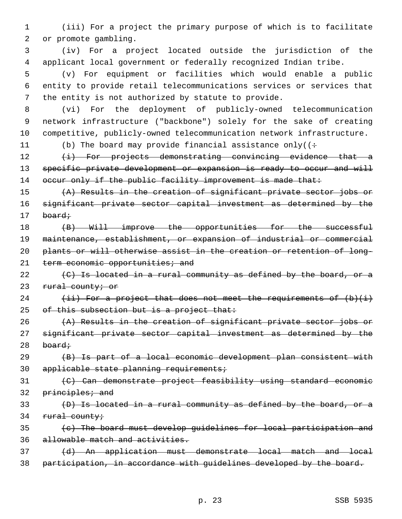(iii) For a project the primary purpose of which is to facilitate 2 or promote gambling.

 (iv) For a project located outside the jurisdiction of the applicant local government or federally recognized Indian tribe.

 (v) For equipment or facilities which would enable a public entity to provide retail telecommunications services or services that the entity is not authorized by statute to provide.

 (vi) For the deployment of publicly-owned telecommunication network infrastructure ("backbone") solely for the sake of creating competitive, publicly-owned telecommunication network infrastructure.

11 (b) The board may provide financial assistance only( $\div$ 

12 (i) For projects demonstrating convincing evidence that a 13 specific private development or expansion is ready to occur and will 14 occur only if the public facility improvement is made that:

 (A) Results in the creation of significant private sector jobs or significant private sector capital investment as determined by the 17 board;

 (B) Will improve the opportunities for the successful maintenance, establishment, or expansion of industrial or commercial plants or will otherwise assist in the creation or retention of long-21 term economic opportunities; and

 $\left\{ \left( \mathcal{C} \right) \right\}$  are located in a rural community as defined by the board, or a 23 rural county; or

24  $(iii)$  For a project that does not meet the requirements of  $(b)(i)$ 25 of this subsection but is a project that:

 (A) Results in the creation of significant private sector jobs or significant private sector capital investment as determined by the board;

 (B) Is part of a local economic development plan consistent with 30 applicable state planning requirements;

 (C) Can demonstrate project feasibility using standard economic 32 principles; and

 (D) Is located in a rural community as defined by the board, or a 34 rural county;

 (c) The board must develop guidelines for local participation and allowable match and activities.

- (d) An application must demonstrate local match and local
- participation, in accordance with guidelines developed by the board.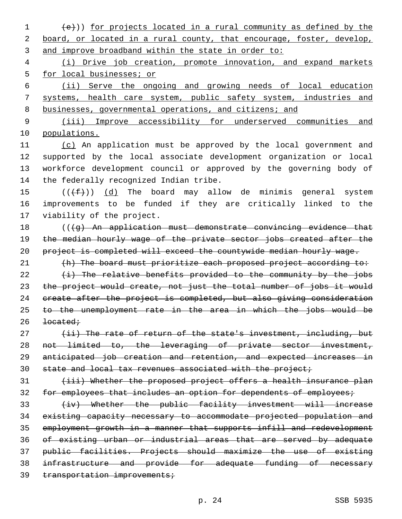$(1 + e)$ ) for projects located in a rural community as defined by the 2 board, or located in a rural county, that encourage, foster, develop, 3 and improve broadband within the state in order to:

4 (i) Drive job creation, promote innovation, and expand markets 5 for local businesses; or

6 (ii) Serve the ongoing and growing needs of local education 7 systems, health care system, public safety system, industries and 8 businesses, governmental operations, and citizens; and

9 (iii) Improve accessibility for underserved communities and 10 populations.

11 (c) An application must be approved by the local government and 12 supported by the local associate development organization or local 13 workforce development council or approved by the governing body of 14 the federally recognized Indian tribe.

15  $((\text{+f-}))(d)$  The board may allow de minimis general system 16 improvements to be funded if they are critically linked to the 17 viability of the project.

18 (((4) An application must demonstrate convincing evidence that 19 the median hourly wage of the private sector jobs created after the 20 project is completed will exceed the countywide median hourly wage.

21 (h) The board must prioritize each proposed project according to:

  $(i)$  The relative benefits provided to the community by the jobs the project would create, not just the total number of jobs it would 24 create after the project is completed, but also giving consideration to the unemployment rate in the area in which the jobs would be <del>located;</del>

27 (ii) The rate of return of the state's investment, including, but 28 not limited to, the leveraging of private sector investment, 29 anticipated job creation and retention, and expected increases in 30 state and local tax revenues associated with the project;

31 (iii) Whether the proposed project offers a health insurance plan 32 for employees that includes an option for dependents of employees;

 (iv) Whether the public facility investment will increase existing capacity necessary to accommodate projected population and employment growth in a manner that supports infill and redevelopment of existing urban or industrial areas that are served by adequate public facilities. Projects should maximize the use of existing infrastructure and provide for adequate funding of necessary 39 transportation improvements;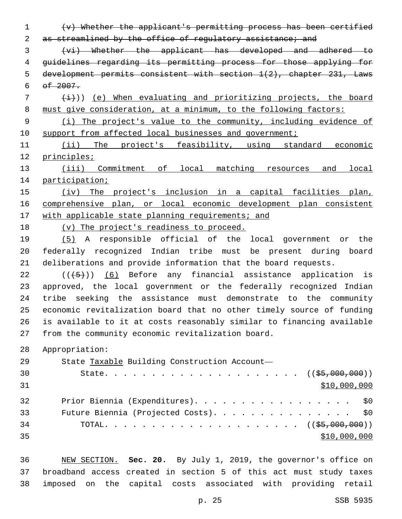(v) Whether the applicant's permitting process has been certified

2 as streamlined by the office of regulatory assistance; and

 (vi) Whether the applicant has developed and adhered to guidelines regarding its permitting process for those applying for development permits consistent with section 1(2), chapter 231, Laws  $6 \quad 6f \quad 2007.$ 

  $(\pm)$ ) (e) When evaluating and prioritizing projects, the board must give consideration, at a minimum, to the following factors:

 (i) The project's value to the community, including evidence of 10 support from affected local businesses and government;

 (ii) The project's feasibility, using standard economic principles;

 (iii) Commitment of local matching resources and local participation;

 (iv) The project's inclusion in a capital facilities plan, comprehensive plan, or local economic development plan consistent with applicable state planning requirements; and

(v) The project's readiness to proceed.

 (5) A responsible official of the local government or the federally recognized Indian tribe must be present during board deliberations and provide information that the board requests.

 $((+5+))$  (6) Before any financial assistance application is approved, the local government or the federally recognized Indian tribe seeking the assistance must demonstrate to the community economic revitalization board that no other timely source of funding is available to it at costs reasonably similar to financing available 27 from the community economic revitalization board.

Appropriation:

29 State Taxable Building Construction Account- State. . . . . . . . . . . . . . . . . . . . . ((\$5,000,000)) \$10,000,000 32 Prior Biennia (Expenditures). . . . . . . . . . . . . . . . \$0 33 Future Biennia (Projected Costs). . . . . . . . . . . . . . \$0 TOTAL. . . . . . . . . . . . . . . . . . . . . ((\$5,000,000)) \$10,000,000

 NEW SECTION. **Sec. 20.** By July 1, 2019, the governor's office on broadband access created in section 5 of this act must study taxes imposed on the capital costs associated with providing retail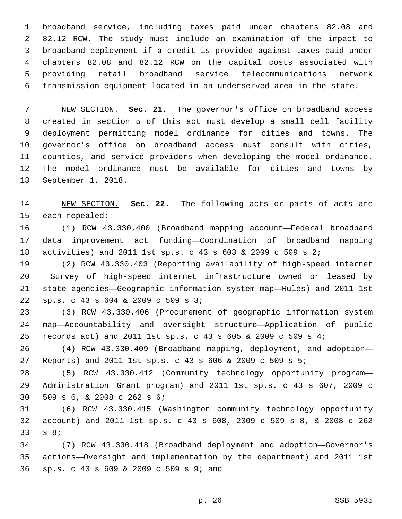broadband service, including taxes paid under chapters 82.08 and 82.12 RCW. The study must include an examination of the impact to broadband deployment if a credit is provided against taxes paid under chapters 82.08 and 82.12 RCW on the capital costs associated with providing retail broadband service telecommunications network transmission equipment located in an underserved area in the state.

 NEW SECTION. **Sec. 21.** The governor's office on broadband access created in section 5 of this act must develop a small cell facility deployment permitting model ordinance for cities and towns. The governor's office on broadband access must consult with cities, counties, and service providers when developing the model ordinance. The model ordinance must be available for cities and towns by September 1, 2018.

 NEW SECTION. **Sec. 22.** The following acts or parts of acts are each repealed:

 (1) RCW 43.330.400 (Broadband mapping account—Federal broadband data improvement act funding—Coordination of broadband mapping activities) and 2011 1st sp.s. c 43 s 603 & 2009 c 509 s 2;

 (2) RCW 43.330.403 (Reporting availability of high-speed internet —Survey of high-speed internet infrastructure owned or leased by state agencies—Geographic information system map—Rules) and 2011 1st sp.s. c 43 s 604 & 2009 c 509 s 3;22

 (3) RCW 43.330.406 (Procurement of geographic information system map—Accountability and oversight structure—Application of public records act) and 2011 1st sp.s. c 43 s 605 & 2009 c 509 s 4;

 (4) RCW 43.330.409 (Broadband mapping, deployment, and adoption— Reports) and 2011 1st sp.s. c 43 s 606 & 2009 c 509 s 5;

 (5) RCW 43.330.412 (Community technology opportunity program— Administration—Grant program) and 2011 1st sp.s. c 43 s 607, 2009 c 509 s 6, & 2008 c 262 s 6;30

 (6) RCW 43.330.415 (Washington community technology opportunity account) and 2011 1st sp.s. c 43 s 608, 2009 c 509 s 8, & 2008 c 262 33 s 8;

 (7) RCW 43.330.418 (Broadband deployment and adoption—Governor's actions—Oversight and implementation by the department) and 2011 1st sp.s. c 43 s 609 & 2009 c 509 s 9; and36